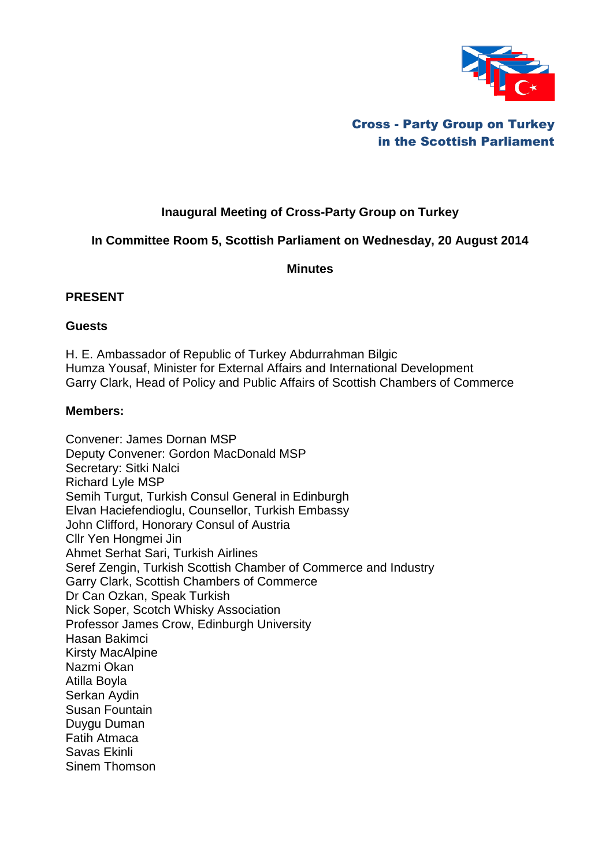

# Cross - Party Group on Turkey in the Scottish Parliament

# **Inaugural Meeting of Cross-Party Group on Turkey**

## **In Committee Room 5, Scottish Parliament on Wednesday, 20 August 2014**

**Minutes**

## **PRESENT**

#### **Guests**

H. E. Ambassador of Republic of Turkey Abdurrahman Bilgic Humza Yousaf, Minister for External Affairs and International Development Garry Clark, Head of Policy and Public Affairs of Scottish Chambers of Commerce

#### **Members:**

Convener: James Dornan MSP Deputy Convener: Gordon MacDonald MSP Secretary: Sitki Nalci Richard Lyle MSP Semih Turgut, Turkish Consul General in Edinburgh Elvan Haciefendioglu, Counsellor, Turkish Embassy John Clifford, Honorary Consul of Austria Cllr Yen Hongmei Jin Ahmet Serhat Sari, Turkish Airlines Seref Zengin, Turkish Scottish Chamber of Commerce and Industry Garry Clark, Scottish Chambers of Commerce Dr Can Ozkan, Speak Turkish Nick Soper, Scotch Whisky Association Professor James Crow, Edinburgh University Hasan Bakimci Kirsty MacAlpine Nazmi Okan Atilla Boyla Serkan Aydin Susan Fountain Duygu Duman Fatih Atmaca Savas Ekinli Sinem Thomson